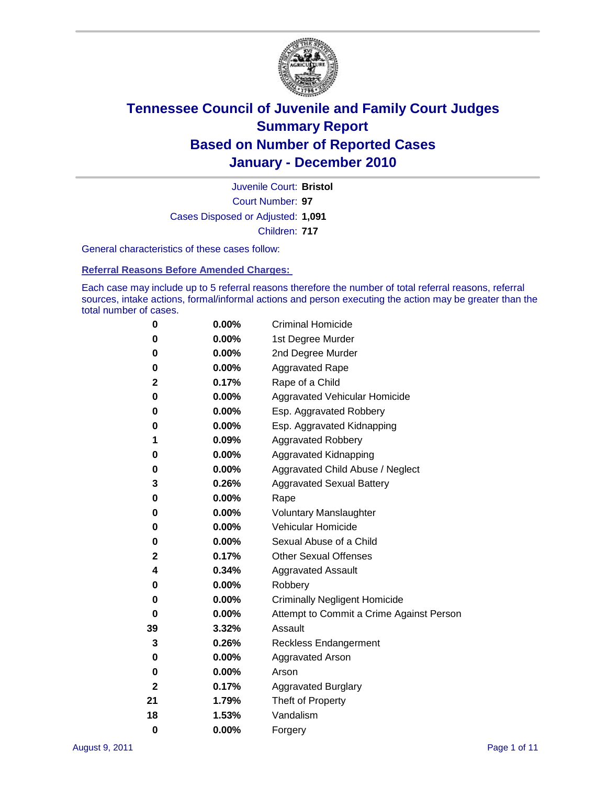

Court Number: **97** Juvenile Court: **Bristol** Cases Disposed or Adjusted: **1,091** Children: **717**

General characteristics of these cases follow:

**Referral Reasons Before Amended Charges:** 

Each case may include up to 5 referral reasons therefore the number of total referral reasons, referral sources, intake actions, formal/informal actions and person executing the action may be greater than the total number of cases.

| 0  | 0.00% | <b>Criminal Homicide</b>                 |
|----|-------|------------------------------------------|
| 0  | 0.00% | 1st Degree Murder                        |
| 0  | 0.00% | 2nd Degree Murder                        |
| 0  | 0.00% | <b>Aggravated Rape</b>                   |
| 2  | 0.17% | Rape of a Child                          |
| 0  | 0.00% | Aggravated Vehicular Homicide            |
| 0  | 0.00% | Esp. Aggravated Robbery                  |
| 0  | 0.00% | Esp. Aggravated Kidnapping               |
| 1  | 0.09% | <b>Aggravated Robbery</b>                |
| 0  | 0.00% | Aggravated Kidnapping                    |
| 0  | 0.00% | Aggravated Child Abuse / Neglect         |
| 3  | 0.26% | <b>Aggravated Sexual Battery</b>         |
| 0  | 0.00% | Rape                                     |
| 0  | 0.00% | <b>Voluntary Manslaughter</b>            |
| 0  | 0.00% | Vehicular Homicide                       |
| 0  | 0.00% | Sexual Abuse of a Child                  |
| 2  | 0.17% | <b>Other Sexual Offenses</b>             |
| 4  | 0.34% | <b>Aggravated Assault</b>                |
| 0  | 0.00% | Robbery                                  |
| 0  | 0.00% | <b>Criminally Negligent Homicide</b>     |
| 0  | 0.00% | Attempt to Commit a Crime Against Person |
| 39 | 3.32% | Assault                                  |
| 3  | 0.26% | <b>Reckless Endangerment</b>             |
| 0  | 0.00% | <b>Aggravated Arson</b>                  |
| 0  | 0.00% | Arson                                    |
| 2  | 0.17% | <b>Aggravated Burglary</b>               |
| 21 | 1.79% | Theft of Property                        |
| 18 | 1.53% | Vandalism                                |
| 0  | 0.00% | Forgery                                  |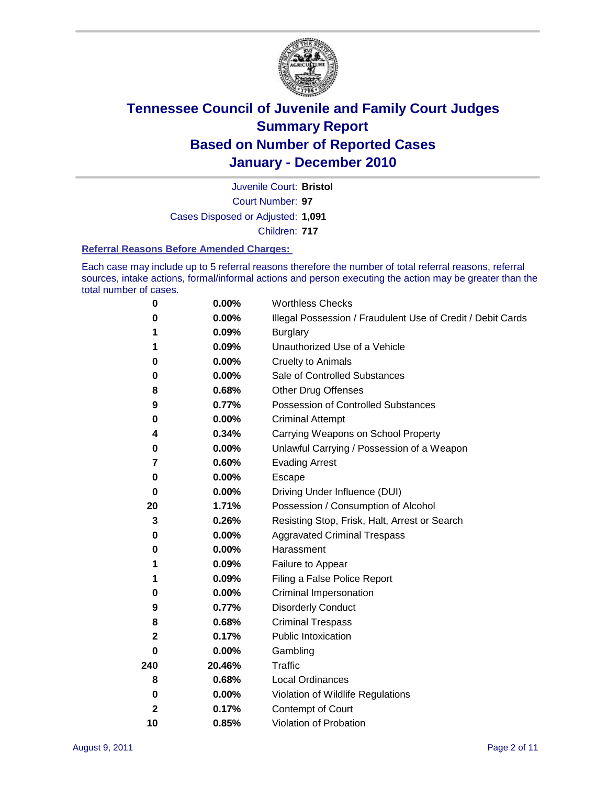

Court Number: **97** Juvenile Court: **Bristol** Cases Disposed or Adjusted: **1,091** Children: **717**

#### **Referral Reasons Before Amended Charges:**

Each case may include up to 5 referral reasons therefore the number of total referral reasons, referral sources, intake actions, formal/informal actions and person executing the action may be greater than the total number of cases.

| $\pmb{0}$    | 0.00%    | <b>Worthless Checks</b>                                     |
|--------------|----------|-------------------------------------------------------------|
| 0            | 0.00%    | Illegal Possession / Fraudulent Use of Credit / Debit Cards |
| 1            | 0.09%    | <b>Burglary</b>                                             |
| 1            | 0.09%    | Unauthorized Use of a Vehicle                               |
| 0            | $0.00\%$ | <b>Cruelty to Animals</b>                                   |
| $\bf{0}$     | 0.00%    | Sale of Controlled Substances                               |
| 8            | 0.68%    | <b>Other Drug Offenses</b>                                  |
| 9            | 0.77%    | Possession of Controlled Substances                         |
| 0            | $0.00\%$ | <b>Criminal Attempt</b>                                     |
| 4            | 0.34%    | Carrying Weapons on School Property                         |
| 0            | $0.00\%$ | Unlawful Carrying / Possession of a Weapon                  |
| 7            | 0.60%    | <b>Evading Arrest</b>                                       |
| 0            | 0.00%    | Escape                                                      |
| 0            | $0.00\%$ | Driving Under Influence (DUI)                               |
| 20           | 1.71%    | Possession / Consumption of Alcohol                         |
| 3            | 0.26%    | Resisting Stop, Frisk, Halt, Arrest or Search               |
| 0            | $0.00\%$ | <b>Aggravated Criminal Trespass</b>                         |
| 0            | $0.00\%$ | Harassment                                                  |
| 1            | 0.09%    | Failure to Appear                                           |
| 1            | 0.09%    | Filing a False Police Report                                |
| 0            | 0.00%    | Criminal Impersonation                                      |
| 9            | 0.77%    | <b>Disorderly Conduct</b>                                   |
| 8            | 0.68%    | <b>Criminal Trespass</b>                                    |
| 2            | 0.17%    | <b>Public Intoxication</b>                                  |
| 0            | $0.00\%$ | Gambling                                                    |
| 240          | 20.46%   | Traffic                                                     |
| 8            | 0.68%    | <b>Local Ordinances</b>                                     |
| 0            | 0.00%    | Violation of Wildlife Regulations                           |
| $\mathbf{2}$ | 0.17%    | Contempt of Court                                           |
| 10           | 0.85%    | Violation of Probation                                      |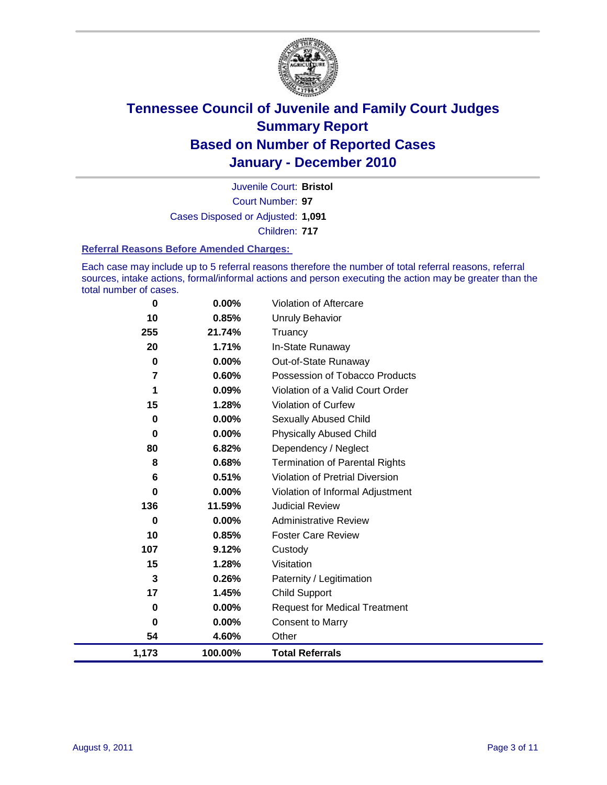

Court Number: **97** Juvenile Court: **Bristol** Cases Disposed or Adjusted: **1,091** Children: **717**

#### **Referral Reasons Before Amended Charges:**

Each case may include up to 5 referral reasons therefore the number of total referral reasons, referral sources, intake actions, formal/informal actions and person executing the action may be greater than the total number of cases.

| 0           | 0.00%    | Violation of Aftercare                 |
|-------------|----------|----------------------------------------|
| 10          | 0.85%    | Unruly Behavior                        |
| 255         | 21.74%   | Truancy                                |
| 20          | 1.71%    | In-State Runaway                       |
| $\mathbf 0$ | 0.00%    | Out-of-State Runaway                   |
| 7           | 0.60%    | Possession of Tobacco Products         |
| 1           | 0.09%    | Violation of a Valid Court Order       |
| 15          | 1.28%    | Violation of Curfew                    |
| 0           | $0.00\%$ | Sexually Abused Child                  |
| 0           | 0.00%    | <b>Physically Abused Child</b>         |
| 80          | 6.82%    | Dependency / Neglect                   |
| 8           | 0.68%    | <b>Termination of Parental Rights</b>  |
| 6           | 0.51%    | <b>Violation of Pretrial Diversion</b> |
| 0           | $0.00\%$ | Violation of Informal Adjustment       |
| 136         | 11.59%   | <b>Judicial Review</b>                 |
| 0           | $0.00\%$ | <b>Administrative Review</b>           |
| 10          | 0.85%    | <b>Foster Care Review</b>              |
| 107         | 9.12%    | Custody                                |
| 15          | 1.28%    | Visitation                             |
| 3           | 0.26%    | Paternity / Legitimation               |
| 17          | 1.45%    | <b>Child Support</b>                   |
| 0           | $0.00\%$ | <b>Request for Medical Treatment</b>   |
| 0           | 0.00%    | <b>Consent to Marry</b>                |
| 54          | 4.60%    | Other                                  |
| 1,173       | 100.00%  | <b>Total Referrals</b>                 |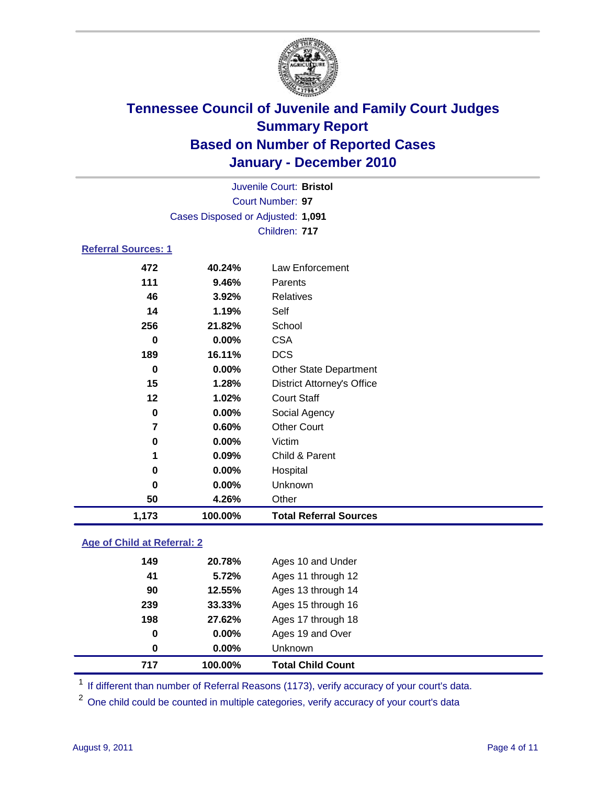

|                            | Juvenile Court: Bristol           |                                   |  |  |
|----------------------------|-----------------------------------|-----------------------------------|--|--|
|                            |                                   | Court Number: 97                  |  |  |
|                            | Cases Disposed or Adjusted: 1,091 |                                   |  |  |
|                            |                                   | Children: 717                     |  |  |
| <b>Referral Sources: 1</b> |                                   |                                   |  |  |
| 472                        | 40.24%                            | Law Enforcement                   |  |  |
| 111                        | 9.46%                             | Parents                           |  |  |
| 46                         | 3.92%                             | Relatives                         |  |  |
| 14                         | 1.19%                             | Self                              |  |  |
| 256                        | 21.82%                            | School                            |  |  |
| 0                          | 0.00%                             | <b>CSA</b>                        |  |  |
| 189                        | 16.11%                            | <b>DCS</b>                        |  |  |
| $\bf{0}$                   | 0.00%                             | <b>Other State Department</b>     |  |  |
| 15                         | 1.28%                             | <b>District Attorney's Office</b> |  |  |
| 12                         | 1.02%                             | <b>Court Staff</b>                |  |  |
| $\mathbf 0$                | 0.00%                             | Social Agency                     |  |  |
| $\overline{7}$             | 0.60%                             | <b>Other Court</b>                |  |  |
| $\pmb{0}$                  | 0.00%                             | Victim                            |  |  |
| 1                          | 0.09%                             | Child & Parent                    |  |  |
| 0                          | 0.00%                             | Hospital                          |  |  |
| 0                          | 0.00%                             | Unknown                           |  |  |
| 50                         | 4.26%                             | Other                             |  |  |
| 1,173                      | 100.00%                           | <b>Total Referral Sources</b>     |  |  |

### **Age of Child at Referral: 2**

| 0   | 0.00%  | <b>Unknown</b>     |
|-----|--------|--------------------|
| 0   | 0.00%  | Ages 19 and Over   |
| 198 | 27.62% | Ages 17 through 18 |
| 239 | 33.33% | Ages 15 through 16 |
| 90  | 12.55% | Ages 13 through 14 |
| 41  | 5.72%  | Ages 11 through 12 |
| 149 | 20.78% | Ages 10 and Under  |
|     |        |                    |

<sup>1</sup> If different than number of Referral Reasons (1173), verify accuracy of your court's data.

<sup>2</sup> One child could be counted in multiple categories, verify accuracy of your court's data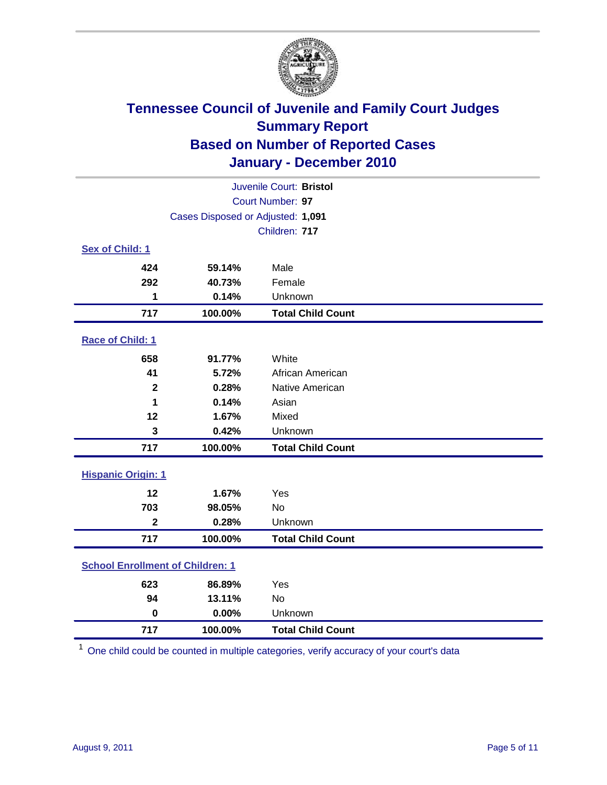

| Juvenile Court: Bristol                 |                                   |                          |  |  |  |
|-----------------------------------------|-----------------------------------|--------------------------|--|--|--|
| Court Number: 97                        |                                   |                          |  |  |  |
|                                         | Cases Disposed or Adjusted: 1,091 |                          |  |  |  |
| Children: 717                           |                                   |                          |  |  |  |
| Sex of Child: 1                         |                                   |                          |  |  |  |
| 424                                     | 59.14%                            | Male                     |  |  |  |
| 292                                     | 40.73%                            | Female                   |  |  |  |
| 1                                       | 0.14%                             | Unknown                  |  |  |  |
| 717                                     | 100.00%                           | <b>Total Child Count</b> |  |  |  |
| Race of Child: 1                        |                                   |                          |  |  |  |
| 658                                     | 91.77%                            | White                    |  |  |  |
| 41                                      | 5.72%                             | African American         |  |  |  |
| $\mathbf{2}$                            | 0.28%                             | Native American          |  |  |  |
| 1                                       | 0.14%                             | Asian                    |  |  |  |
| 12                                      | 1.67%                             | Mixed                    |  |  |  |
| 3                                       | 0.42%                             | Unknown                  |  |  |  |
| 717                                     | 100.00%                           | <b>Total Child Count</b> |  |  |  |
| <b>Hispanic Origin: 1</b>               |                                   |                          |  |  |  |
| 12                                      | 1.67%                             | Yes                      |  |  |  |
| 703                                     | 98.05%                            | <b>No</b>                |  |  |  |
| $\overline{\mathbf{2}}$                 | 0.28%                             | Unknown                  |  |  |  |
| 717                                     | 100.00%                           | <b>Total Child Count</b> |  |  |  |
| <b>School Enrollment of Children: 1</b> |                                   |                          |  |  |  |
| 623                                     | 86.89%                            | Yes                      |  |  |  |
| 94                                      | 13.11%                            | <b>No</b>                |  |  |  |
| $\mathbf 0$                             | 0.00%                             | Unknown                  |  |  |  |
| 717                                     | 100.00%                           | <b>Total Child Count</b> |  |  |  |

One child could be counted in multiple categories, verify accuracy of your court's data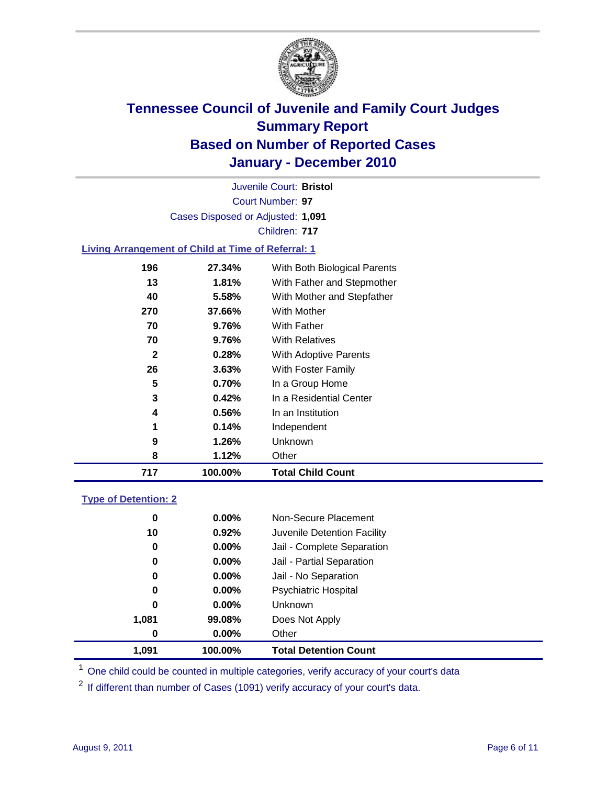

Court Number: **97** Juvenile Court: **Bristol** Cases Disposed or Adjusted: **1,091** Children: **717**

### **Living Arrangement of Child at Time of Referral: 1**

| 717          | 100.00% | <b>Total Child Count</b>     |
|--------------|---------|------------------------------|
| 8            | 1.12%   | Other                        |
| 9            | 1.26%   | Unknown                      |
| 1            | 0.14%   | Independent                  |
| 4            | 0.56%   | In an Institution            |
| 3            | 0.42%   | In a Residential Center      |
| 5            | 0.70%   | In a Group Home              |
| 26           | 3.63%   | With Foster Family           |
| $\mathbf{2}$ | 0.28%   | With Adoptive Parents        |
| 70           | 9.76%   | <b>With Relatives</b>        |
| 70           | 9.76%   | <b>With Father</b>           |
| 270          | 37.66%  | With Mother                  |
| 40           | 5.58%   | With Mother and Stepfather   |
| 13           | 1.81%   | With Father and Stepmother   |
| 196          | 27.34%  | With Both Biological Parents |
|              |         |                              |

### **Type of Detention: 2**

| 1.091 | 100.00%  | <b>Total Detention Count</b> |  |
|-------|----------|------------------------------|--|
| 0     | 0.00%    | Other                        |  |
| 1,081 | 99.08%   | Does Not Apply               |  |
| 0     | $0.00\%$ | Unknown                      |  |
| 0     | $0.00\%$ | Psychiatric Hospital         |  |
| 0     | 0.00%    | Jail - No Separation         |  |
| 0     | $0.00\%$ | Jail - Partial Separation    |  |
| 0     | 0.00%    | Jail - Complete Separation   |  |
| 10    | 0.92%    | Juvenile Detention Facility  |  |
| 0     | $0.00\%$ | Non-Secure Placement         |  |
|       |          |                              |  |

<sup>1</sup> One child could be counted in multiple categories, verify accuracy of your court's data

<sup>2</sup> If different than number of Cases (1091) verify accuracy of your court's data.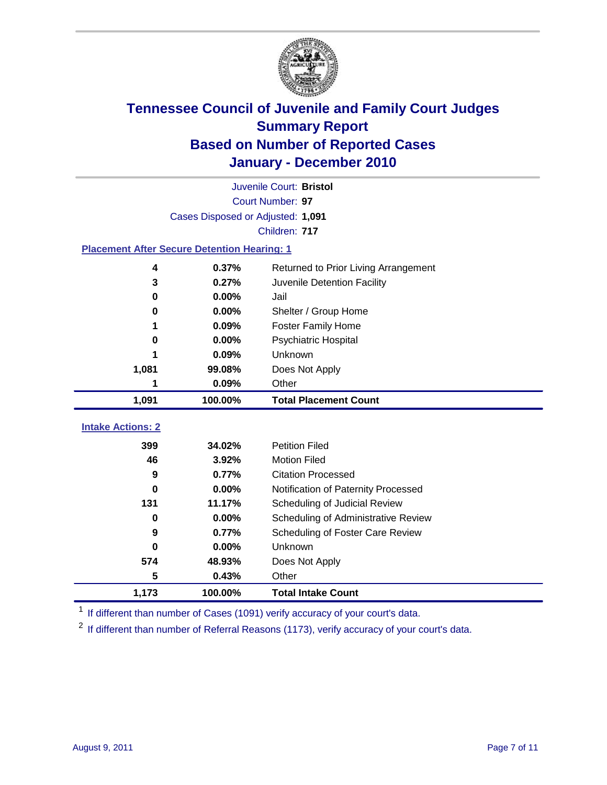

| $\bf{0}$                 | 0.00%          | Shelter / Group Home                |
|--------------------------|----------------|-------------------------------------|
| 1                        | 0.09%<br>0.00% | <b>Foster Family Home</b>           |
| 0                        | 0.09%          | Psychiatric Hospital<br>Unknown     |
| 1,081                    | 99.08%         | Does Not Apply                      |
| 1                        | 0.09%          | Other                               |
| 1,091                    | 100.00%        | <b>Total Placement Count</b>        |
|                          |                |                                     |
| <b>Intake Actions: 2</b> |                |                                     |
|                          | 34.02%         | <b>Petition Filed</b>               |
| 399                      |                |                                     |
| 46                       | 3.92%          | <b>Motion Filed</b>                 |
| 9                        | 0.77%          | <b>Citation Processed</b>           |
| 0                        | 0.00%          | Notification of Paternity Processed |
| 131                      | 11.17%         | Scheduling of Judicial Review       |
| 0                        | 0.00%          | Scheduling of Administrative Review |
| 9                        | 0.77%          | Scheduling of Foster Care Review    |
| $\bf{0}$                 | 0.00%          | Unknown                             |
| 574                      | 48.93%         |                                     |
| 5                        | 0.43%          | Does Not Apply<br>Other             |

<sup>1</sup> If different than number of Cases (1091) verify accuracy of your court's data.

<sup>2</sup> If different than number of Referral Reasons (1173), verify accuracy of your court's data.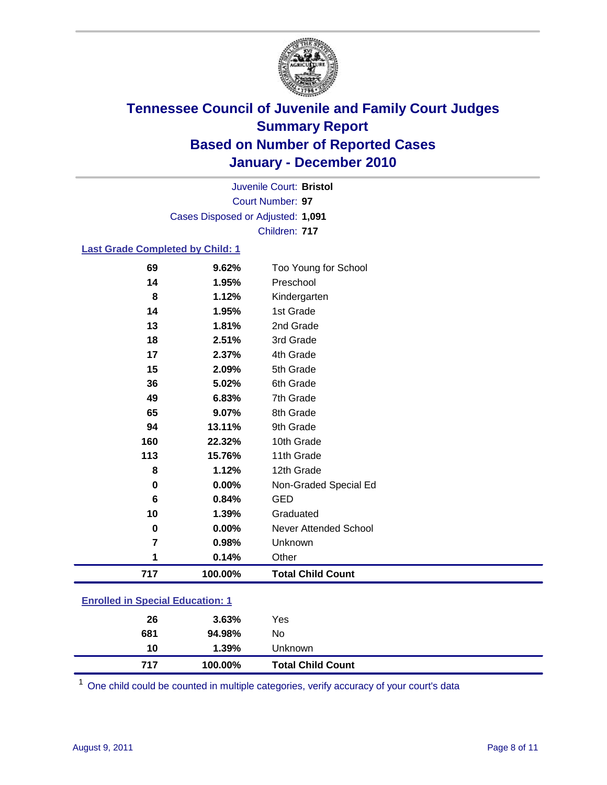

Court Number: **97** Juvenile Court: **Bristol** Cases Disposed or Adjusted: **1,091** Children: **717**

### **Last Grade Completed by Child: 1**

| 69                                      | 9.62%   | Too Young for School         |  |
|-----------------------------------------|---------|------------------------------|--|
| 14                                      | 1.95%   | Preschool                    |  |
| 8                                       | 1.12%   | Kindergarten                 |  |
| 14                                      | 1.95%   | 1st Grade                    |  |
| 13                                      | 1.81%   | 2nd Grade                    |  |
| 18                                      | 2.51%   | 3rd Grade                    |  |
| 17                                      | 2.37%   | 4th Grade                    |  |
| 15                                      | 2.09%   | 5th Grade                    |  |
| 36                                      | 5.02%   | 6th Grade                    |  |
| 49                                      | 6.83%   | 7th Grade                    |  |
| 65                                      | 9.07%   | 8th Grade                    |  |
| 94                                      | 13.11%  | 9th Grade                    |  |
| 160                                     | 22.32%  | 10th Grade                   |  |
| 113                                     | 15.76%  | 11th Grade                   |  |
| 8                                       | 1.12%   | 12th Grade                   |  |
| 0                                       | 0.00%   | Non-Graded Special Ed        |  |
| 6                                       | 0.84%   | <b>GED</b>                   |  |
| 10                                      | 1.39%   | Graduated                    |  |
| $\pmb{0}$                               | 0.00%   | <b>Never Attended School</b> |  |
| $\overline{\mathbf{r}}$                 | 0.98%   | Unknown                      |  |
| 1                                       | 0.14%   | Other                        |  |
| 717                                     | 100.00% | <b>Total Child Count</b>     |  |
| <b>Enrolled in Special Education: 1</b> |         |                              |  |

| <b>Total Child Count</b> |
|--------------------------|
| Unknown                  |
|                          |
|                          |
|                          |

One child could be counted in multiple categories, verify accuracy of your court's data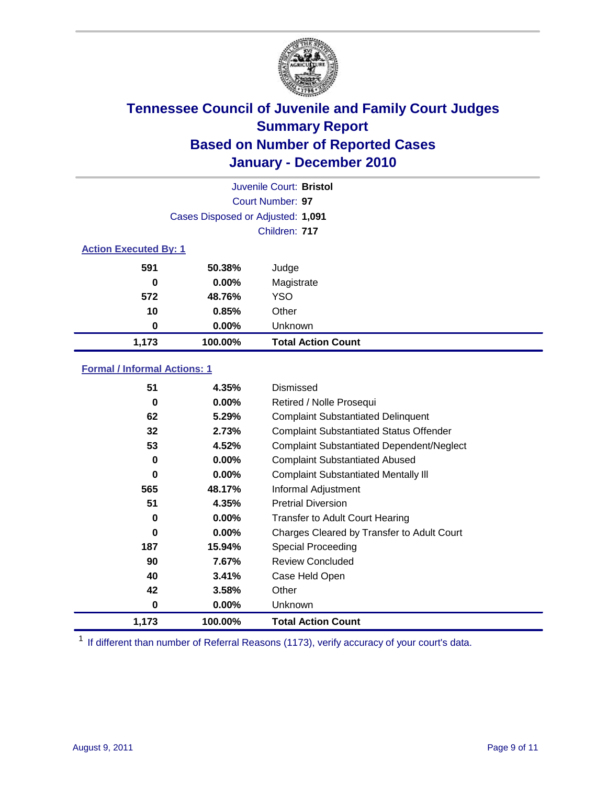

| Juvenile Court: Bristol |                                   |                           |  |  |  |
|-------------------------|-----------------------------------|---------------------------|--|--|--|
|                         | Court Number: 97                  |                           |  |  |  |
|                         | Cases Disposed or Adjusted: 1,091 |                           |  |  |  |
|                         | Children: 717                     |                           |  |  |  |
|                         | <b>Action Executed By: 1</b>      |                           |  |  |  |
| 591                     | 50.38%                            | Judge                     |  |  |  |
| 0                       | $0.00\%$                          | Magistrate                |  |  |  |
| 572                     | 48.76%                            | <b>YSO</b>                |  |  |  |
| 10                      | 0.85%                             | Other                     |  |  |  |
| 0                       | $0.00\%$                          | Unknown                   |  |  |  |
| 1,173                   | 100.00%                           | <b>Total Action Count</b> |  |  |  |

### **Formal / Informal Actions: 1**

| 51    | 4.35%    | Dismissed                                        |
|-------|----------|--------------------------------------------------|
| 0     | $0.00\%$ | Retired / Nolle Prosequi                         |
| 62    | 5.29%    | <b>Complaint Substantiated Delinquent</b>        |
| 32    | 2.73%    | <b>Complaint Substantiated Status Offender</b>   |
| 53    | 4.52%    | <b>Complaint Substantiated Dependent/Neglect</b> |
| 0     | $0.00\%$ | <b>Complaint Substantiated Abused</b>            |
| 0     | $0.00\%$ | <b>Complaint Substantiated Mentally III</b>      |
| 565   | 48.17%   | Informal Adjustment                              |
| 51    | 4.35%    | <b>Pretrial Diversion</b>                        |
| 0     | $0.00\%$ | <b>Transfer to Adult Court Hearing</b>           |
| 0     | $0.00\%$ | Charges Cleared by Transfer to Adult Court       |
| 187   | 15.94%   | <b>Special Proceeding</b>                        |
| 90    | 7.67%    | <b>Review Concluded</b>                          |
| 40    | 3.41%    | Case Held Open                                   |
| 42    | 3.58%    | Other                                            |
| 0     | $0.00\%$ | <b>Unknown</b>                                   |
| 1,173 | 100.00%  | <b>Total Action Count</b>                        |

<sup>1</sup> If different than number of Referral Reasons (1173), verify accuracy of your court's data.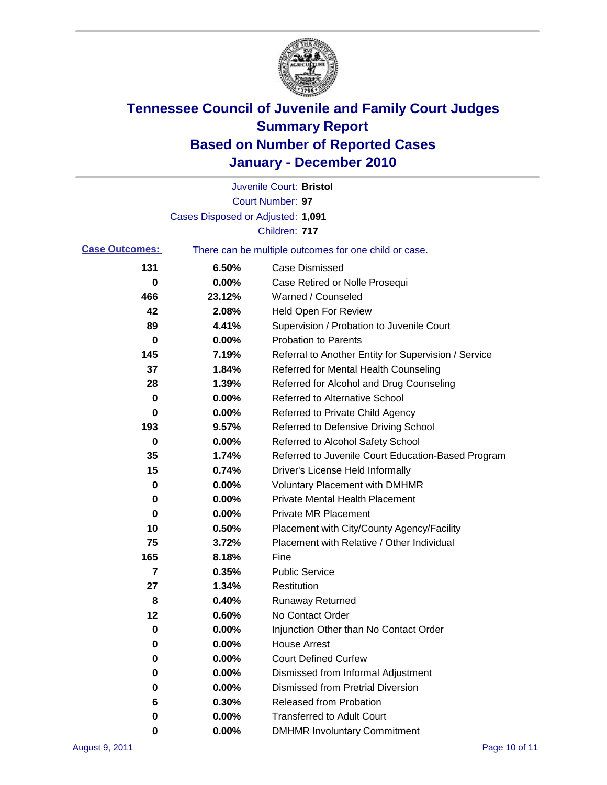

|                       |                                   | Juvenile Court: Bristol                               |
|-----------------------|-----------------------------------|-------------------------------------------------------|
|                       |                                   | Court Number: 97                                      |
|                       | Cases Disposed or Adjusted: 1,091 |                                                       |
|                       |                                   | Children: 717                                         |
| <b>Case Outcomes:</b> |                                   | There can be multiple outcomes for one child or case. |
| 131                   | 6.50%                             | <b>Case Dismissed</b>                                 |
| 0                     | 0.00%                             | Case Retired or Nolle Prosequi                        |
| 466                   | 23.12%                            | Warned / Counseled                                    |
| 42                    | 2.08%                             | <b>Held Open For Review</b>                           |
| 89                    | 4.41%                             | Supervision / Probation to Juvenile Court             |
| 0                     | 0.00%                             | <b>Probation to Parents</b>                           |
| 145                   | 7.19%                             | Referral to Another Entity for Supervision / Service  |
| 37                    | 1.84%                             | Referred for Mental Health Counseling                 |
| 28                    | 1.39%                             | Referred for Alcohol and Drug Counseling              |
| 0                     | 0.00%                             | <b>Referred to Alternative School</b>                 |
| 0                     | 0.00%                             | Referred to Private Child Agency                      |
| 193                   | 9.57%                             | Referred to Defensive Driving School                  |
| 0                     | 0.00%                             | Referred to Alcohol Safety School                     |
| 35                    | 1.74%                             | Referred to Juvenile Court Education-Based Program    |
| 15                    | 0.74%                             | Driver's License Held Informally                      |
| 0                     | 0.00%                             | <b>Voluntary Placement with DMHMR</b>                 |
| 0                     | 0.00%                             | <b>Private Mental Health Placement</b>                |
| 0                     | 0.00%                             | <b>Private MR Placement</b>                           |
| 10                    | 0.50%                             | Placement with City/County Agency/Facility            |
| 75                    | 3.72%                             | Placement with Relative / Other Individual            |
| 165                   | 8.18%                             | Fine                                                  |
| 7                     | 0.35%                             | <b>Public Service</b>                                 |
| 27                    | 1.34%                             | Restitution                                           |
| 8                     | 0.40%                             | <b>Runaway Returned</b>                               |
| 12                    | 0.60%                             | No Contact Order                                      |
| 0                     | 0.00%                             | Injunction Other than No Contact Order                |
| 0                     | 0.00%                             | <b>House Arrest</b>                                   |
| 0                     | 0.00%                             | <b>Court Defined Curfew</b>                           |
| 0                     | 0.00%                             | Dismissed from Informal Adjustment                    |
| 0                     | 0.00%                             | <b>Dismissed from Pretrial Diversion</b>              |
| 6                     | 0.30%                             | Released from Probation                               |
| 0                     | 0.00%                             | <b>Transferred to Adult Court</b>                     |
| 0                     | $0.00\%$                          | <b>DMHMR Involuntary Commitment</b>                   |